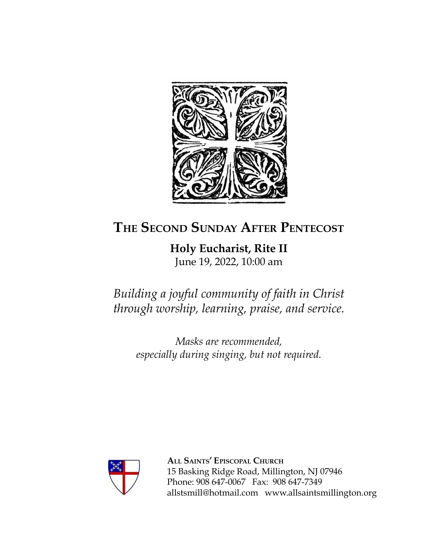

## **THE SECOND SUNDAY AFTER PENTECOST**

**Holy Eucharist, Rite II** June 19, 2022, 10:00 am

*Building a joyful community of faith in Christ through worship, learning, praise, and service.*

*Masks are recommended, especially during singing, but not required.*



**ALL SAINTS' EPISCOPAL CHURCH** 15 Basking Ridge Road, Millington, NJ 07946 Phone: 908 647-0067 Fax: 908 647-7349 [allstsmill@hotmail.com](mailto:allsaintsmillington@hotmail.com) [www.allsaintsmillington.org](http://www.allsaintsmillington.org)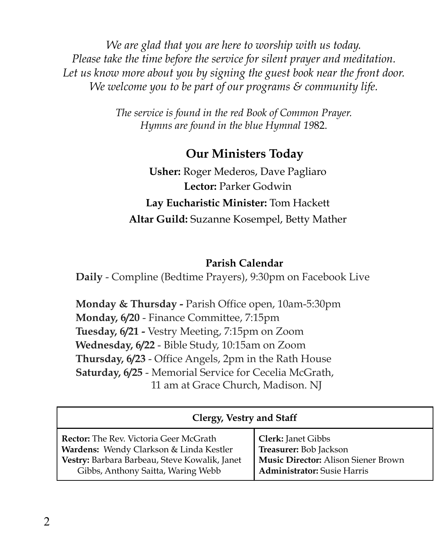*We are glad that you are here to worship with us today. Please take the time before the service for silent prayer and meditation. Let us know more about you by signing the guest book near the front door. We welcome you to be part of our programs & community life.*

> *The service is found in the red Book of Common Prayer. Hymns are found in the blue Hymnal 19*82.

#### **Our Ministers Today**

**Usher:** Roger Mederos, Dave Pagliaro **Lector:** Parker Godwin **Lay Eucharistic Minister:** Tom Hackett **Altar Guild:** Suzanne Kosempel, Betty Mather

#### **Parish Calendar**

**Daily** - Compline (Bedtime Prayers), 9:30pm on Facebook Live

**Monday & Thursday -** Parish Office open, 10am-5:30pm **Monday, 6/20** - Finance Committee, 7:15pm **Tuesday, 6/21 -** Vestry Meeting, 7:15pm on Zoom **Wednesday, 6/22** - Bible Study, 10:15am on Zoom **Thursday, 6/23** - Office Angels, 2pm in the Rath House **Saturday, 6/25** - Memorial Service for Cecelia McGrath, 11 am at Grace Church, Madison. NJ

| Clergy, Vestry and Staff                      |                                            |  |  |
|-----------------------------------------------|--------------------------------------------|--|--|
| <b>Rector:</b> The Rev. Victoria Geer McGrath | <b>Clerk: Janet Gibbs</b>                  |  |  |
| Wardens: Wendy Clarkson & Linda Kestler       | Treasurer: Bob Jackson                     |  |  |
| Vestry: Barbara Barbeau, Steve Kowalik, Janet | <b>Music Director:</b> Alison Siener Brown |  |  |
| Gibbs, Anthony Saitta, Waring Webb            | <b>Administrator:</b> Susie Harris         |  |  |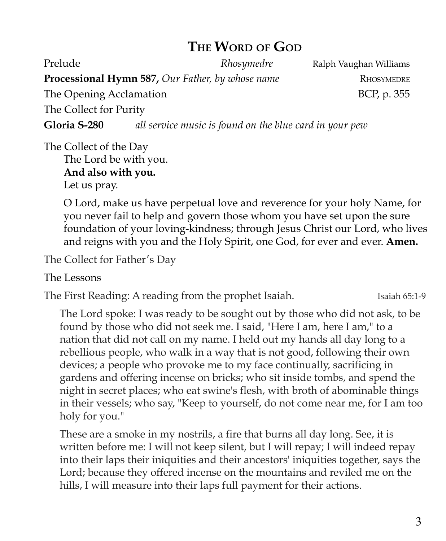### **THE WORD OF GOD**

Prelude *Rhosymedre* Ralph Vaughan Williams **Processional Hymn 587,** *Our Father, by whose name* RHOSYMEDRE The Opening Acclamation and the Second BCP, p. 355 The Collect for Purity **Gloria S-280** *all service music is found on the blue card in your pew*

The Collect of the Day The Lord be with you. **And also with you.**

Let us pray.

O Lord, make us have perpetual love and reverence for your holy Name, for you never fail to help and govern those whom you have set upon the sure foundation of your loving-kindness; through Jesus Christ our Lord, who lives and reigns with you and the Holy Spirit, one God, for ever and ever. **Amen.**

The Collect for Father's Day

The Lessons

The First Reading: A reading from the prophet Isaiah. Isaiah 65:1-9

The Lord spoke: I was ready to be sought out by those who did not ask, to be found by those who did not seek me. I said, "Here I am, here I am," to a nation that did not call on my name. I held out my hands all day long to a rebellious people, who walk in a way that is not good, following their own devices; a people who provoke me to my face continually, sacrificing in gardens and offering incense on bricks; who sit inside tombs, and spend the night in secret places; who eat swine's flesh, with broth of abominable things in their vessels; who say, "Keep to yourself, do not come near me, for I am too holy for you."

These are a smoke in my nostrils, a fire that burns all day long. See, it is written before me: I will not keep silent, but I will repay; I will indeed repay into their laps their iniquities and their ancestors' iniquities together, says the Lord; because they offered incense on the mountains and reviled me on the hills, I will measure into their laps full payment for their actions.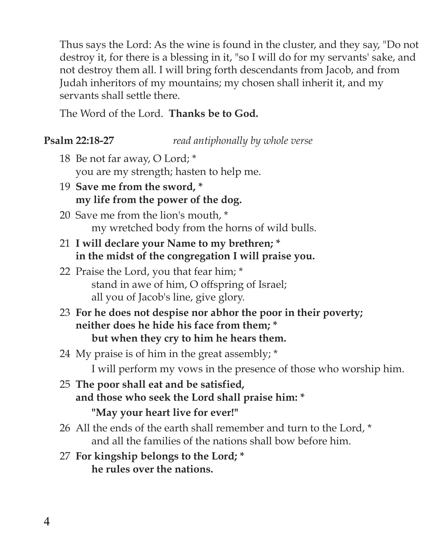Thus says the Lord: As the wine is found in the cluster, and they say, "Do not destroy it, for there is a blessing in it, "so I will do for my servants' sake, and not destroy them all. I will bring forth descendants from Jacob, and from Judah inheritors of my mountains; my chosen shall inherit it, and my servants shall settle there.

The Word of the Lord. **Thanks be to God.**

#### **Psalm 22:18-27** *read antiphonally by whole verse*

- 18 Be not far away, O Lord; \* you are my strength; hasten to help me.
- 19 **Save me from the sword, \* my life from the power of the dog.**
- 20 Save me from the lion's mouth, \* my wretched body from the horns of wild bulls.
- 21 **I will declare your Name to my brethren; \* in the midst of the congregation I will praise you.**
- 22 Praise the Lord, you that fear him; \* stand in awe of him, O offspring of Israel; all you of Jacob's line, give glory.
- 23 **For he does not despise nor abhor the poor in their poverty; neither does he hide his face from them; \* but when they cry to him he hears them.**
- 24 My praise is of him in the great assembly; \* I will perform my vows in the presence of those who worship him.
- 25 **The poor shall eat and be satisfied, and those who seek the Lord shall praise him: \***
	- **"May your heart live for ever!"**
- 26 All the ends of the earth shall remember and turn to the Lord, \* and all the families of the nations shall bow before him.
- 27 **For kingship belongs to the Lord; \* he rules over the nations.**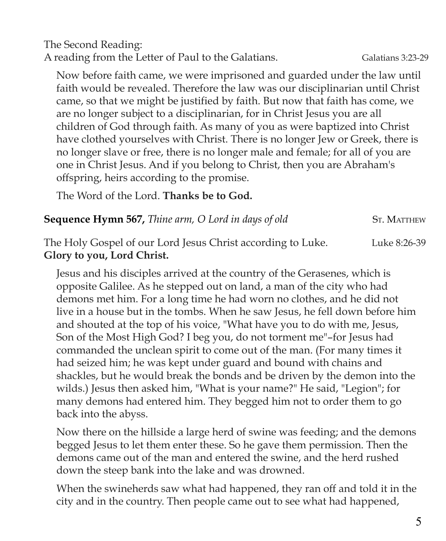The Second Reading: A reading from the Letter of Paul to the Galatians. Galatians 3:23-29

Now before faith came, we were imprisoned and guarded under the law until faith would be revealed. Therefore the law was our disciplinarian until Christ came, so that we might be justified by faith. But now that faith has come, we are no longer subject to a disciplinarian, for in Christ Jesus you are all children of God through faith. As many of you as were baptized into Christ have clothed yourselves with Christ. There is no longer Jew or Greek, there is no longer slave or free, there is no longer male and female; for all of you are one in Christ Jesus. And if you belong to Christ, then you are Abraham's offspring, heirs according to the promise.

The Word of the Lord. **Thanks be to God.**

#### **Sequence Hymn 567,** *Thine arm, O Lord in days of old* ST. MATTHEW

The Holy Gospel of our Lord Jesus Christ according to Luke. Luke 8:26-39 **Glory to you, Lord Christ.**

Jesus and his disciples arrived at the country of the Gerasenes, which is opposite Galilee. As he stepped out on land, a man of the city who had demons met him. For a long time he had worn no clothes, and he did not live in a house but in the tombs. When he saw Jesus, he fell down before him and shouted at the top of his voice, "What have you to do with me, Jesus, Son of the Most High God? I beg you, do not torment me"–for Jesus had commanded the unclean spirit to come out of the man. (For many times it had seized him; he was kept under guard and bound with chains and shackles, but he would break the bonds and be driven by the demon into the wilds.) Jesus then asked him, "What is your name?" He said, "Legion"; for many demons had entered him. They begged him not to order them to go back into the abyss.

Now there on the hillside a large herd of swine was feeding; and the demons begged Jesus to let them enter these. So he gave them permission. Then the demons came out of the man and entered the swine, and the herd rushed down the steep bank into the lake and was drowned.

When the swineherds saw what had happened, they ran off and told it in the city and in the country. Then people came out to see what had happened,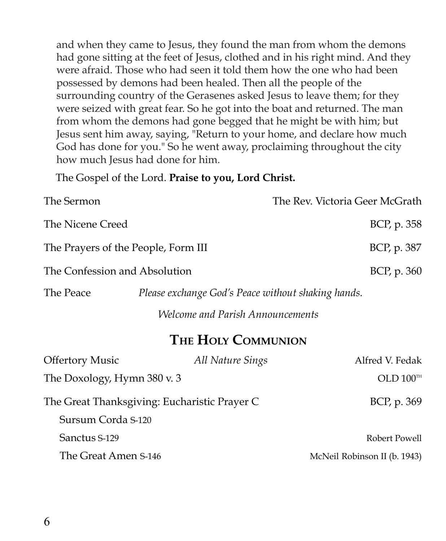and when they came to Jesus, they found the man from whom the demons had gone sitting at the feet of Jesus, clothed and in his right mind. And they were afraid. Those who had seen it told them how the one who had been possessed by demons had been healed. Then all the people of the surrounding country of the Gerasenes asked Jesus to leave them; for they were seized with great fear. So he got into the boat and returned. The man from whom the demons had gone begged that he might be with him; but Jesus sent him away, saying, "Return to your home, and declare how much God has done for you." So he went away, proclaiming throughout the city how much Jesus had done for him.

The Gospel of the Lord. **Praise to you, Lord Christ.**

| The Sermon                          |                                                    | The Rev. Victoria Geer McGrath |
|-------------------------------------|----------------------------------------------------|--------------------------------|
| The Nicene Creed                    |                                                    | BCP, p. 358                    |
| The Prayers of the People, Form III |                                                    | BCP, p. 387                    |
| The Confession and Absolution       |                                                    | BCP, p. 360                    |
| The Peace                           | Please exchange God's Peace without shaking hands. |                                |

*Welcome and Parish Announcements*

## **THE HOLY COMMUNION**

| <b>Offertory Music</b>                       | All Nature Sings | Alfred V. Fedak              |
|----------------------------------------------|------------------|------------------------------|
| The Doxology, Hymn 380 v. 3                  |                  | OLD $100^{\text{th}}$        |
| The Great Thanksgiving: Eucharistic Prayer C |                  | BCP, p. 369                  |
| Sursum Corda S-120                           |                  |                              |
| Sanctus S-129                                |                  | Robert Powell                |
| The Great Amen S-146                         |                  | McNeil Robinson II (b. 1943) |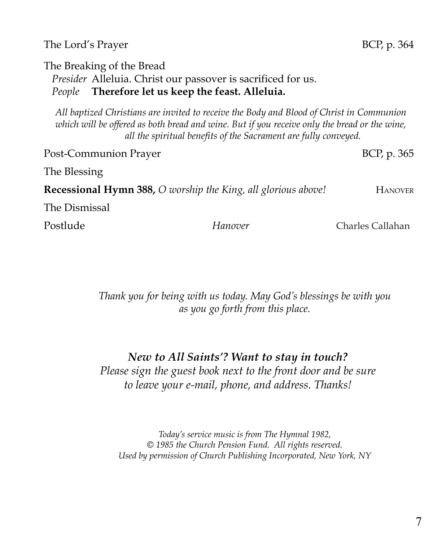#### The Lord's Prayer BCP, p. 364

The Breaking of the Bread

*Presider* Alleluia. Christ our passover is sacrificed for us.

*People* **Therefore let us keep the feast. Alleluia.**

*All baptized Christians are invited to receive the Body and Blood of Christ in Communion* which will be offered as both bread and wine. But if you receive only the bread or the wine, *all the spiritual benefits of the Sacrament are fully conveyed.*

Post-Communion Prayer BCP, p. 365 The Blessing **Recessional Hymn 388,** *O worship the King, all glorious above!* HANOVER The Dismissal Postlude *Hanover* Charles Callahan

> *Thank you for being with us today. May God's blessings be with you as you go forth from this place.*

*New to All Saints'? Want to stay in touch? Please sign the guest book next to the front door and be sure to leave your e-mail, phone, and address. Thanks!*

*Today's service music is from The Hymnal 1982, © 1985 the Church Pension Fund. All rights reserved. Used by permission of Church Publishing Incorporated, New York, NY*